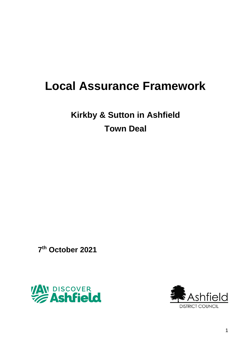# **Local Assurance Framework**

**Kirkby & Sutton in Ashfield Town Deal**

**7 th October 2021**



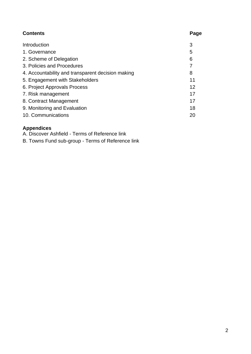| <b>Contents</b>                                   | Page |
|---------------------------------------------------|------|
| Introduction                                      | 3    |
| 1. Governance                                     | 5    |
| 2. Scheme of Delegation                           | 6    |
| 3. Policies and Procedures                        | 7    |
| 4. Accountability and transparent decision making | 8    |
| 5. Engagement with Stakeholders                   | 11   |
| 6. Project Approvals Process                      | 12   |
| 7. Risk management                                | 17   |
| 8. Contract Management                            | 17   |
| 9. Monitoring and Evaluation                      | 18   |
| 10. Communications                                | 20   |

## **Appendices**

A. Discover Ashfield - Terms of Reference link

B. Towns Fund sub-group - Terms of Reference link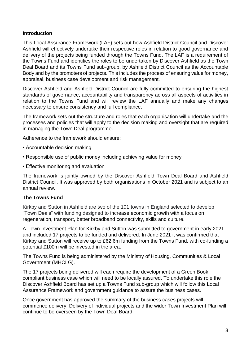#### **Introduction**

This Local Assurance Framework (LAF) sets out how Ashfield District Council and Discover Ashfield will effectively undertake their respective roles in relation to good governance and delivery of the projects being funded through the Towns Fund. The LAF is a requirement of the Towns Fund and identifies the roles to be undertaken by Discover Ashfield as the Town Deal Board and its Towns Fund sub-group, by Ashfield District Council as the Accountable Body and by the promoters of projects. This includes the process of ensuring value for money, appraisal, business case development and risk management.

Discover Ashfield and Ashfield District Council are fully committed to ensuring the highest standards of governance, accountability and transparency across all aspects of activities in relation to the Towns Fund and will review the LAF annually and make any changes necessary to ensure consistency and full compliance.

The framework sets out the structure and roles that each organisation will undertake and the processes and policies that will apply to the decision making and oversight that are required in managing the Town Deal programme.

Adherence to the framework should ensure:

- Accountable decision making
- Responsible use of public money including achieving value for money
- Effective monitoring and evaluation

The framework is jointly owned by the Discover Ashfield Town Deal Board and Ashfield District Council. It was approved by both organisations in October 2021 and is subject to an annual review.

#### **The Towns Fund**

Kirkby and Sutton in Ashfield are two of the 101 towns in England selected to develop "Town Deals" with funding designed to increase economic growth with a focus on regeneration, transport, better broadband connectivity, skills and culture.

A Town Investment Plan for Kirkby and Sutton was submitted to government in early 2021 and included 17 projects to be funded and delivered. In June 2021 it was confirmed that Kirkby and Sutton will receive up to £62.6m funding from the Towns Fund, with co-funding a potential £100m will be invested in the area.

The Towns Fund is being administered by the Ministry of Housing, Communities & Local Government (MHCLG).

The 17 projects being delivered will each require the development of a Green Book compliant business case which will need to be locally assured. To undertake this role the Discover Ashfield Board has set up a Towns Fund sub-group which will follow this Local Assurance Framework and government guidance to assure the business cases.

Once government has approved the summary of the business cases projects will commence delivery. Delivery of individual projects and the wider Town Investment Plan will continue to be overseen by the Town Deal Board.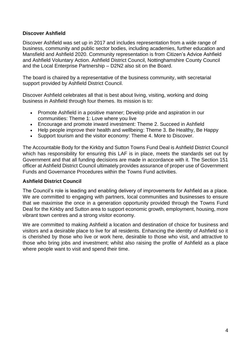## **Discover Ashfield**

Discover Ashfield was set up in 2017 and includes representation from a wide range of business, community and public sector bodies, including academies, further education and Mansfield and Ashfield 2020. Community representation is from Citizen's Advice Ashfield and Ashfield Voluntary Action. Ashfield District Council, Nottinghamshire County Council and the Local Enterprise Partnership – D2N2 also sit on the Board.

The board is chaired by a representative of the business community, with secretarial support provided by Ashfield District Council.

Discover Ashfield celebrates all that is best about living, visiting, working and doing business in Ashfield through four themes. Its mission is to:

- Promote Ashfield in a positive manner; Develop pride and aspiration in our communities: Theme 1: Love where you live
- Encourage and promote inward investment: Theme 2. Succeed in Ashfield
- Help people improve their health and wellbeing: Theme 3. Be Healthy, Be Happy
- Support tourism and the visitor economy: Theme 4. More to Discover.

The Accountable Body for the Kirkby and Sutton Towns Fund Deal is Ashfield District Council which has responsibility for ensuring this LAF is in place, meets the standards set out by Government and that all funding decisions are made in accordance with it. The Section 151 officer at Ashfield District Council ultimately provides assurance of proper use of Government Funds and Governance Procedures within the Towns Fund activities.

#### **Ashfield District Council**

The Council's role is leading and enabling delivery of improvements for Ashfield as a place. We are committed to engaging with partners, local communities and businesses to ensure that we maximise the once in a generation opportunity provided through the Towns Fund Deal for the Kirkby and Sutton area to support economic growth, employment, housing, more vibrant town centres and a strong visitor economy.

We are committed to making Ashfield a location and destination of choice for business and visitors and a desirable place to live for all residents. Enhancing the identity of Ashfield so it is cherished by those who live or work here, desirable to those who visit, and attractive to those who bring jobs and investment; whilst also raising the profile of Ashfield as a place where people want to visit and spend their time.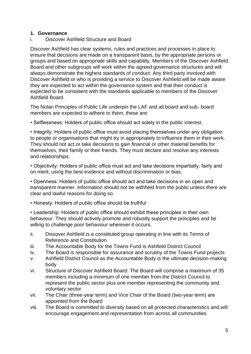## **1. Governance**

i. Discover Ashfield Structure and Board

Discover Ashfield has clear systems, rules and practices and processes in place to ensure that decisions are made on a transparent basis, by the appropriate persons or groups and based on appropriate skills and capability. Members of the Discover Ashfield Board and other subgroups will work within the agreed governance structures and will always demonstrate the highest standards of conduct. Any third party involved with Discover Ashfield or who is providing a service to Discover Ashfield will be made aware they are expected to act within the governance system and that their conduct is expected to be consistent with the standards applicable to members of the Discover Ashfield Board.

The Nolan Principles of Public Life underpin the LAF and all board and sub- board members are expected to adhere to them, these are:

• Selflessness: Holders of public office should act solely in the public interest.

• Integrity: Holders of public office must avoid placing themselves under any obligation to people or organisations that might try in appropriately to influence them in their work. They should not act or take decisions to gain financial or other material benefits for themselves, their family or their friends. They must declare and resolve any interests and relationships.

• Objectivity: Holders of public office must act and take decisions impartially, fairly and on merit, using the best evidence and without discrimination or bias.

• Openness: Holders of public office should act and take decisions in an open and transparent manner. Information should not be withheld from the public unless there are clear and lawful reasons for doing so.

• Honesty: Holders of public office should be truthful

• Leadership: Holders of public office should exhibit these principles in their own behaviour. They should actively promote and robustly support the principles and be willing to challenge poor behaviour wherever it occurs.

- ii. Discover Ashfield is a constituted group operating in line with its Terms of Reference and Constitution
- iii. The Accountable Body for the Towns Fund is Ashfield District Council
- iv. The Board is responsible for assurance and scrutiny of the Towns Fund projects
- v. Ashfield District Council as the Accountable Body is the ultimate decision-making body
- vi. Structure of Discover Ashfield Board: The Board will comprise a maximum of 35 members including a minimum of one member from the District Council to represent the public sector plus one member representing the community and voluntary sector
- vii. The Chair (three-year term) and Vice Chair of the Board (two-year term) are appointed from the Board
- viii. The Board is committed to diversity based on all protected characteristics and will encourage engagement and representation from across all communities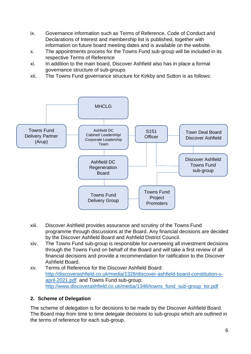- ix. Governance information such as Terms of Reference, Code of Conduct and Declarations of Interest and membership list is published, together with information on future board meeting dates and is available on the website.
- x. The appointments process for the Towns Fund sub-group will be included in its respective Terms of Reference
- xi. In addition to the main board, Discover Ashfield also has in place a formal governance structure of sub-groups
- xii. The Towns Fund governance structure for Kirkby and Sutton is as follows:



- xiii. Discover Ashfield provides assurance and scrutiny of the Towns Fund programme through discussions at the Board. Any financial decisions are decided by the Discover Ashfield Board and Ashfield District Council.
- xiv. The Towns Fund sub-group is responsible for overseeing all investment decisions through the Towns Fund on behalf of the Board and will take a first review of all financial decisions and provide a recommendation for ratification to the Discover Ashfield Board.
- xv. Terms of Reference for the Discover Ashfield Board: [http://discoverashfield.co.uk/media/1328/discover-ashfield-board-constitution-v](http://discoverashfield.co.uk/media/1328/discover-ashfield-board-constitution-v-april-2021.pdf)[april-2021.pdf](http://discoverashfield.co.uk/media/1328/discover-ashfield-board-constitution-v-april-2021.pdf) and Towns Fund sub-group: [http://www.discoverashfield.co.uk/media/1346/towns\\_fund\\_sub-group\\_tor.pdf](http://www.discoverashfield.co.uk/media/1346/towns_fund_sub-group_tor.pdf)

## **2. Scheme of Delegation**

The scheme of delegation is for decisions to be made by the Discover Ashfield Board. The Board may from time to time delegate decisions to sub-groups which are outlined in the terms of reference for each sub-group.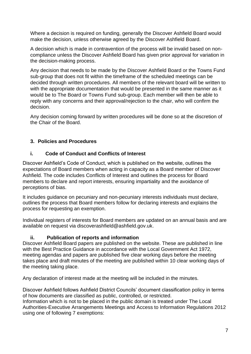Where a decision is required on funding, generally the Discover Ashfield Board would make the decision, unless otherwise agreed by the Discover Ashfield Board.

A decision which is made in contravention of the process will be invalid based on noncompliance unless the Discover Ashfield Board has given prior approval for variation in the decision-making process.

Any decision that needs to be made by the Discover Ashfield Board or the Towns Fund sub-group that does not fit within the timeframe of the scheduled meetings can be decided through written procedures. All members of the relevant board will be written to with the appropriate documentation that would be presented in the same manner as it would be to The Board or Towns Fund sub-group. Each member will then be able to reply with any concerns and their approval/rejection to the chair, who will confirm the decision.

Any decision coming forward by written procedures will be done so at the discretion of the Chair of the Board.

## **3. Policies and Procedures**

## **i. Code of Conduct and Conflicts of Interest**

Discover Ashfield's Code of Conduct, which is published on the website, outlines the expectations of Board members when acting in capacity as a Board member of Discover Ashfield. The code includes Conflicts of Interest and outlines the process for Board members to declare and report interests, ensuring impartiality and the avoidance of perceptions of bias.

It includes guidance on pecuniary and non-pecuniary interests individuals must declare, outlines the process that Board members follow for declaring interests and explains the process for requesting an exemption.

Individual registers of interests for Board members are updated on an annual basis and are available on request via discoverashfield@ashfield.gov.uk.

## **ii. Publication of reports and information**

Discover Ashfield Board papers are published on the website. These are published in line with the Best Practice Guidance in accordance with the Local Government Act 1972, meeting agendas and papers are published five clear working days before the meeting takes place and draft minutes of the meeting are published within 10 clear working days of the meeting taking place.

Any declaration of interest made at the meeting will be included in the minutes.

Discover Ashfield follows Ashfield District Councils' document classification policy in terms of how documents are classified as public, controlled, or restricted.

Information which is not to be placed in the public domain is treated under The Local Authorities-Executive Arrangements Meetings and Access to Information Regulations 2012 using one of following 7 exemptions: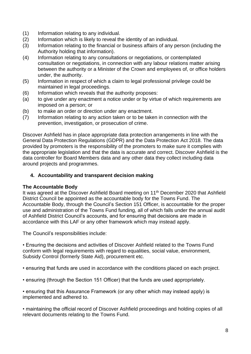- (1) Information relating to any individual.
- (2) Information which is likely to reveal the identity of an individual.
- (3) Information relating to the financial or business affairs of any person (including the Authority holding that information).
- (4) Information relating to any consultations or negotiations, or contemplated consultation or negotiations, in connection with any labour relations matter arising between the authority or a Minister of the Crown and employees of, or office holders under, the authority.
- (5) Information in respect of which a claim to legal professional privilege could be maintained in legal proceedings.
- (6) Information which reveals that the authority proposes:
- (a) to give under any enactment a notice under or by virtue of which requirements are imposed on a person; or
- (b) to make an order or direction under any enactment.
- (7) Information relating to any action taken or to be taken in connection with the prevention, investigation, or prosecution of crime.

Discover Ashfield has in place appropriate data protection arrangements in line with the General Data Protection Regulations (GDPR) and the Data Protection Act 2018. The data provided by promoters is the responsibility of the promoters to make sure it complies with the appropriate legislation and that the data is accurate and correct. Discover Ashfield is the data controller for Board Members data and any other data they collect including data around projects and programmes.

#### **4. Accountability and transparent decision making**

#### **The Accountable Body**

It was agreed at the Discover Ashfield Board meeting on 11<sup>th</sup> December 2020 that Ashfield District Council be appointed as the accountable body for the Towns Fund. The Accountable Body, through the Council's Section 151 Officer, is accountable for the proper use and administration of the Towns Fund funding, all of which falls under the annual audit of Ashfield District Council's accounts, and for ensuring that decisions are made in accordance with this LAF or any other framework which may instead apply.

The Council's responsibilities include:

• Ensuring the decisions and activities of Discover Ashfield related to the Towns Fund conform with legal requirements with regard to equalities, social value, environment, Subsidy Control (formerly State Aid), procurement etc.

• ensuring that funds are used in accordance with the conditions placed on each project.

• ensuring (through the Section 151 Officer) that the funds are used appropriately.

• ensuring that this Assurance Framework (or any other which may instead apply) is implemented and adhered to.

• maintaining the official record of Discover Ashfield proceedings and holding copies of all relevant documents relating to the Towns Fund.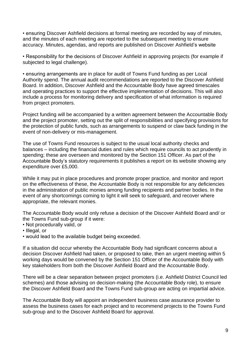• ensuring Discover Ashfield decisions at formal meeting are recorded by way of minutes, and the minutes of each meeting are reported to the subsequent meeting to ensure accuracy. Minutes, agendas, and reports are published on Discover Ashfield's website

• Responsibility for the decisions of Discover Ashfield in approving projects (for example if subjected to legal challenge).

• ensuring arrangements are in place for audit of Towns Fund funding as per Local Authority spend. The annual audit recommendations are reported to the Discover Ashfield Board. In addition, Discover Ashfield and the Accountable Body have agreed timescales and operating practices to support the effective implementation of decisions. This will also include a process for monitoring delivery and specification of what information is required from project promoters.

Project funding will be accompanied by a written agreement between the Accountable Body and the project promoter, setting out the split of responsibilities and specifying provisions for the protection of public funds, such as arrangements to suspend or claw back funding in the event of non-delivery or mis-management.

The use of Towns Fund resources is subject to the usual local authority checks and balances – including the financial duties and rules which require councils to act prudently in spending; these are overseen and monitored by the Section 151 Officer. As part of the Accountable Body's statutory requirements it publishes a report on its website showing any expenditure over £5,000.

While it may put in place procedures and promote proper practice, and monitor and report on the effectiveness of these, the Accountable Body is not responsible for any deficiencies in the administration of public monies among funding recipients and partner bodies. In the event of any shortcomings coming to light it will seek to safeguard, and recover where appropriate, the relevant monies.

The Accountable Body would only refuse a decision of the Discover Ashfield Board and/ or the Towns Fund sub-group if it were:

- Not procedurally valid, or
- Illegal, or
- would lead to the available budget being exceeded.

If a situation did occur whereby the Accountable Body had significant concerns about a decision Discover Ashfield had taken, or proposed to take, then an urgent meeting within 5 working days would be convened by the Section 151 Officer of the Accountable Body with key stakeholders from both the Discover Ashfield Board and the Accountable Body.

There will be a clear separation between project promoters (i.e. Ashfield District Council led schemes) and those advising on decision-making (the Accountable Body role), to ensure the Discover Ashfield Board and the Towns Fund sub-group are acting on impartial advice.

The Accountable Body will appoint an independent business case assurance provider to assess the business cases for each project and to recommend projects to the Towns Fund sub-group and to the Discover Ashfield Board for approval.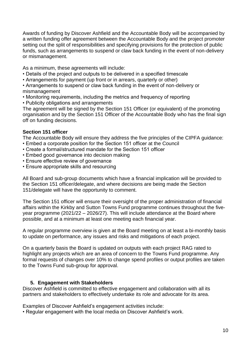Awards of funding by Discover Ashfield and the Accountable Body will be accompanied by a written funding offer agreement between the Accountable Body and the project promoter setting out the split of responsibilities and specifying provisions for the protection of public funds, such as arrangements to suspend or claw back funding in the event of non-delivery or mismanagement.

As a minimum, these agreements will include:

- Details of the project and outputs to be delivered in a specified timescale
- Arrangements for payment (up front or in arrears, quarterly or other)

• Arrangements to suspend or claw back funding in the event of non-delivery or mismanagement

- Monitoring requirements, including the metrics and frequency of reporting
- Publicity obligations and arrangements

The agreement will be signed by the Section 151 Officer (or equivalent) of the promoting organisation and by the Section 151 Officer of the Accountable Body who has the final sign off on funding decisions.

## **Section 151 officer**

The Accountable Body will ensure they address the five principles of the CIPFA guidance:

- Embed a corporate position for the Section 151 officer at the Council
- Create a formal/structured mandate for the Section 151 officer
- Embed good governance into decision making
- Ensure effective review of governance
- Ensure appropriate skills and resourcing

All Board and sub-group documents which have a financial implication will be provided to the Section 151 officer/delegate, and where decisions are being made the Section 151/delegate will have the opportunity to comment.

The Section 151 officer will ensure their oversight of the proper administration of financial affairs within the Kirkby and Sutton Towns Fund programme continues throughout the fiveyear programme (2021/22 – 2026/27). This will include attendance at the Board where possible, and at a minimum at least one meeting each financial year.

A regular programme overview is given at the Board meeting on at least a bi-monthly basis to update on performance, any issues and risks and mitigations of each project.

On a quarterly basis the Board is updated on outputs with each project RAG rated to highlight any projects which are an area of concern to the Towns Fund programme. Any formal requests of changes over 10% to change spend profiles or output profiles are taken to the Towns Fund sub-group for approval.

## **5. Engagement with Stakeholders**

Discover Ashfield is committed to effective engagement and collaboration with all its partners and stakeholders to effectively undertake its role and advocate for its area.

Examples of Discover Ashfield's engagement activities include:

• Regular engagement with the local media on Discover Ashfield's work.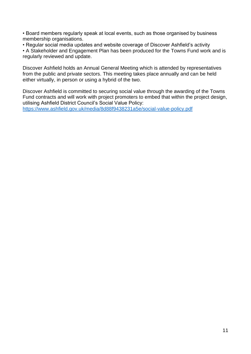• Board members regularly speak at local events, such as those organised by business membership organisations.

• Regular social media updates and website coverage of Discover Ashfield's activity

• A Stakeholder and Engagement Plan has been produced for the Towns Fund work and is regularly reviewed and update.

Discover Ashfield holds an Annual General Meeting which is attended by representatives from the public and private sectors. This meeting takes place annually and can be held either virtually, in person or using a hybrid of the two.

Discover Ashfield is committed to securing social value through the awarding of the Towns Fund contracts and will work with project promoters to embed that within the project design, utilising Ashfield District Council's Social Value Policy: <https://www.ashfield.gov.uk/media/8d88f9438231a5e/social-value-policy.pdf>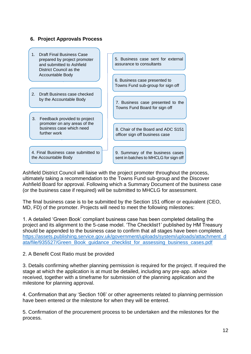| <b>Draft Final Business Case</b><br>1.<br>prepared by project promoter<br>and submitted to Ashfield<br>District Council as the | 5. Business case sent for external<br>assurance to consultants            |
|--------------------------------------------------------------------------------------------------------------------------------|---------------------------------------------------------------------------|
| Accountable Body                                                                                                               | 6. Business case presented to<br>Towns Fund sub-group for sign off        |
| $\mathcal{P}$<br>Draft Business case checked<br>by the Accountable Body                                                        | 7. Business case presented to the<br>Towns Fund Board for sign off        |
| 3.<br>Feedback provided to project<br>promoter on any areas of the<br>business case which need<br>further work                 | 8. Chair of the Board and ADC S151<br>officer sign off business case      |
| 4. Final Business case submitted to<br>the Accountable Body                                                                    | 9. Summary of the business cases<br>sent in batches to MHCLG for sign off |

Ashfield District Council will liaise with the project promoter throughout the process, ultimately taking a recommendation to the Towns Fund sub-group and the Discover Ashfield Board for approval. Following which a Summary Document of the business case (or the business case if required) will be submitted to MHCLG for assessment.

The final business case is to be submitted by the Section 151 officer or equivalent (CEO, MD, FD) of the promoter. Projects will need to meet the following milestones:

1. A detailed 'Green Book' compliant business case has been completed detailing the project and its alignment to the 5-case model. 'The Checklist1' published by HM Treasury should be appended to the business case to confirm that all stages have been completed. [https://assets.publishing.service.gov.uk/government/uploads/system/uploads/attachment\\_d](https://assets.publishing.service.gov.uk/government/uploads/system/uploads/attachment_data/file/935527/Green_Book_guidance_checklist_for_assessing_business_cases.pdf) [ata/file/935527/Green\\_Book\\_guidance\\_checklist\\_for\\_assessing\\_business\\_cases.pdf](https://assets.publishing.service.gov.uk/government/uploads/system/uploads/attachment_data/file/935527/Green_Book_guidance_checklist_for_assessing_business_cases.pdf)

## 2. A Benefit Cost Ratio must be provided

**6. Project Approvals Process**

3. Details confirming whether planning permission is required for the project. If required the stage at which the application is at must be detailed, including any pre-app. advice received, together with a timeframe for submission of the planning application and the milestone for planning approval.

4. Confirmation that any 'Section 106' or other agreements related to planning permission have been entered or the milestone for when they will be entered.

5. Confirmation of the procurement process to be undertaken and the milestones for the process.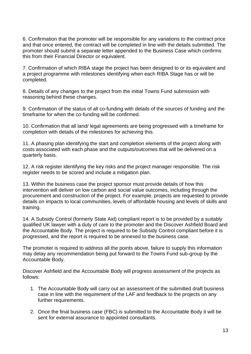6. Confirmation that the promoter will be responsible for any variations to the contract price and that once entered, the contract will be completed in line with the details submitted. The promoter should submit a separate letter appended to the Business Case which confirms this from their Financial Director or equivalent.

7. Confirmation of which RIBA stage the project has been designed to or its equivalent and a project programme with milestones identifying when each RIBA Stage has or will be completed.

8. Details of any changes to the project from the initial Towns Fund submission with reasoning behind these changes.

9. Confirmation of the status of all co-funding with details of the sources of funding and the timeframe for when the co-funding will be confirmed.

10. Confirmation that all land/ legal agreements are being progressed with a timeframe for completion with details of the milestones for achieving this.

11. A phasing plan identifying the start and completion elements of the project along with costs associated with each phase and the outputs/outcomes that will be delivered on a quarterly basis.

12. A risk register identifying the key risks and the project manager responsible. The risk register needs to be scored and include a mitigation plan.

13. Within the business case the project sponsor must provide details of how this intervention will deliver on low carbon and social value outcomes, including through the procurement and construction of the project. For example, projects are requested to provide details on impacts to local communities, levels of affordable housing and levels of skills and training.

14. A Subsidy Control (formerly State Aid) compliant report is to be provided by a suitably qualified UK lawyer with a duty of care to the promoter and the Discover Ashfield Board and the Accountable Body. The project is required to be Subsidy Control compliant before it is progressed, and the report is required to be annexed to the business case.

The promoter is required to address all the points above, failure to supply this information may delay any recommendation being put forward to the Towns Fund sub-group by the Accountable Body.

Discover Ashfield and the Accountable Body will progress assessment of the projects as follows:

- 1. The Accountable Body will carry out an assessment of the submitted draft business case in line with the requirement of the LAF and feedback to the projects on any further requirements.
- 2. Once the final business case (FBC) is submitted to the Accountable Body it will be sent for external assurance to appointed consultants.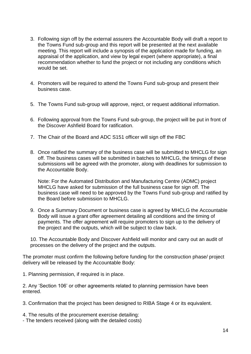- 3. Following sign off by the external assurers the Accountable Body will draft a report to the Towns Fund sub-group and this report will be presented at the next available meeting. This report will include a synopsis of the application made for funding, an appraisal of the application, and view by legal expert (where appropriate), a final recommendation whether to fund the project or not including any conditions which would be set.
- 4. Promoters will be required to attend the Towns Fund sub-group and present their business case.
- 5. The Towns Fund sub-group will approve, reject, or request additional information.
- 6. Following approval from the Towns Fund sub-group, the project will be put in front of the Discover Ashfield Board for ratification.
- 7. The Chair of the Board and ADC S151 officer will sign off the FBC
- 8. Once ratified the summary of the business case will be submitted to MHCLG for sign off. The business cases will be submitted in batches to MHCLG, the timings of these submissions will be agreed with the promoter, along with deadlines for submission to the Accountable Body.

Note: For the Automated Distribution and Manufacturing Centre (ADMC) project MHCLG have asked for submission of the full business case for sign off. The business case will need to be approved by the Towns Fund sub-group and ratified by the Board before submission to MHCLG.

9. Once a Summary Document or business case is agreed by MHCLG the Accountable Body will issue a grant offer agreement detailing all conditions and the timing of payments. The offer agreement will require promoters to sign up to the delivery of the project and the outputs, which will be subject to claw back.

10. The Accountable Body and Discover Ashfield will monitor and carry out an audit of processes on the delivery of the project and the outputs.

The promoter must confirm the following before funding for the construction phase/ project delivery will be released by the Accountable Body:

1. Planning permission, if required is in place.

2. Any 'Section 106' or other agreements related to planning permission have been entered.

3. Confirmation that the project has been designed to RIBA Stage 4 or its equivalent.

- 4. The results of the procurement exercise detailing:
- The tenders received (along with the detailed costs)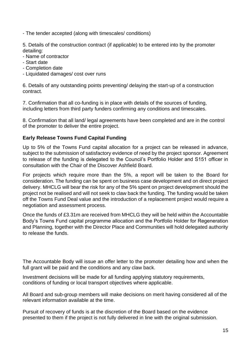- The tender accepted (along with timescales/ conditions)

5. Details of the construction contract (if applicable) to be entered into by the promoter detailing:

- Name of contractor
- Start date
- Completion date
- Liquidated damages/ cost over runs

6. Details of any outstanding points preventing/ delaying the start-up of a construction contract.

7. Confirmation that all co-funding is in place with details of the sources of funding, including letters from third party funders confirming any conditions and timescales.

8. Confirmation that all land/ legal agreements have been completed and are in the control of the promoter to deliver the entire project.

## **Early Release Towns Fund Capital Funding**

Up to 5% of the Towns Fund capital allocation for a project can be released in advance, subject to the submission of satisfactory evidence of need by the project sponsor. Agreement to release of the funding is delegated to the Council's Portfolio Holder and S151 officer in consultation with the Chair of the Discover Ashfield Board.

For projects which require more than the 5%, a report will be taken to the Board for consideration. The funding can be spent on business case development and on direct project delivery. MHCLG will bear the risk for any of the 5% spent on project development should the project not be realised and will not seek to claw back the funding. The funding would be taken off the Towns Fund Deal value and the introduction of a replacement project would require a negotiation and assessment process.

Once the funds of £3.31m are received from MHCLG they will be held within the Accountable Body's Towns Fund capital programme allocation and the Portfolio Holder for Regeneration and Planning, together with the Director Place and Communities will hold delegated authority to release the funds.

The Accountable Body will issue an offer letter to the promoter detailing how and when the full grant will be paid and the conditions and any claw back.

Investment decisions will be made for all funding applying statutory requirements, conditions of funding or local transport objectives where applicable.

All Board and sub-group members will make decisions on merit having considered all of the relevant information available at the time.

Pursuit of recovery of funds is at the discretion of the Board based on the evidence presented to them if the project is not fully delivered in line with the original submission.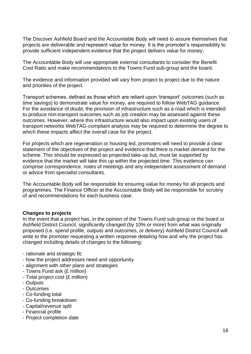The Discover Ashfield Board and the Accountable Body will need to assure themselves that projects are deliverable and represent value for money. It is the promoter's responsibility to provide sufficient independent evidence that the project delivers value for money.

The Accountable Body will use appropriate external consultants to consider the Benefit Cost Ratio and make recommendations to the Towns Fund sub-group and the board.

The evidence and information provided will vary from project to project due to the nature and priorities of the project.

Transport schemes, defined as those which are reliant upon 'transport' outcomes (such as time savings) to demonstrate value for money, are required to follow WebTAG guidance. For the avoidance of doubt, the provision of infrastructure such as a road which is intended to produce non-transport outcomes such as job creation may be assessed against these outcomes. However, where this infrastructure would also impact upon existing users of transport networks WebTAG-compliant analysis may be required to determine the degree to which these impacts affect the overall case for the project.

For projects which are regeneration or housing led, promoters will need to provide a clear statement of the objectives of the project and evidence that there is market demand for the scheme. This should be expressed as projected take-up but, must be supported by evidence that the market will take this up within the projected time. This evidence can comprise correspondence, notes of meetings and any independent assessment of demand or advice from specialist consultants.

The Accountable Body will be responsible for ensuring value for money for all projects and programmes. The Finance Officer at the Accountable Body will be responsible for scrutiny of and recommendations for each business case.

#### **Changes to projects**

In the event that a project has, in the opinion of the Towns Fund sub-group or the board or Ashfield District Council, significantly changed (by 10% or more) from what was originally proposed (i.e. spend profile, outputs and outcomes, or delivery) Ashfield District Council will write to the promoter requesting a written response detailing how and why the project has changed including details of changes to the following:

- rationale and strategic fit;
- how the project addresses need and opportunity
- alignment with other plans and strategies
- Towns Fund ask (£ million)
- Total project cost (£ million)
- Outputs
- Outcomes
- Co-funding total
- Co-funding breakdown
- Capital/revenue split
- Financial profile
- Project completion date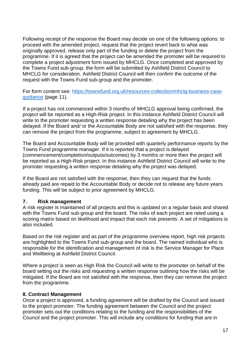Following receipt of the response the Board may decide on one of the following options: to proceed with the amended project, request that the project revert back to what was originally approved, release only part of the funding or delete the project from the programme. If it is agreed that the project can be amended the promoter will be required to complete a project adjustment form issued by MHCLG. Once completed and approved by the Towns Fund sub-group, the form will be submitted by Ashfield District Council to MHCLG for consideration. Ashfield District Council will then confirm the outcome of the request with the Towns Fund sub-group and the promoter.

For form content see: [https://townsfund.org.uk/resources-collection/mhclg-business-case](https://townsfund.org.uk/resources-collection/mhclg-business-case-guidance)[guidance](https://townsfund.org.uk/resources-collection/mhclg-business-case-guidance) (page 11).

If a project has not commenced within 3 months of MHCLG approval being confirmed, the project will be reported as a High-Risk project. In this instance Ashfield District Council will write to the promoter requesting a written response detailing why the project has been delayed. If the Board and/ or the Accountable Body are not satisfied with the response, they can remove the project from the programme, subject to agreement by MHCLG.

The Board and Accountable Body will be provided with quarterly performance reports by the Towns Fund programme manager. If it is reported that a project is delayed (commencement/completion/outputs/outcomes) by 3 months or more then the project will be reported as a High-Risk project. In this instance Ashfield District Council will write to the promoter requesting a written response detailing why the project was delayed.

If the Board are not satisfied with the response, then they can request that the funds already paid are repaid to the Accountable Body or decide not to release any future years funding. This will be subject to prior agreement by MHCLG.

#### **7. Risk management**

A risk register is maintained of all projects and this is updated on a regular basis and shared with the Towns Fund sub-group and the board. The risks of each project are rated using a scoring matrix based on likelihood and impact that each risk presents. A set of mitigations is also included.

Based on the risk register and as part of the programme overview report, high risk projects are highlighted to the Towns Fund sub-group and the board. The named individual who is responsible for the identification and management of risk is the Service Manager for Place and Wellbeing at Ashfield District Council.

Where a project is seen as High Risk the Council will write to the promoter on behalf of the board setting out the risks and requesting a written response outlining how the risks will be mitigated. If the Board are not satisfied with the response, then they can remove the project from the programme.

#### **8. Contract Management**

Once a project is approved, a funding agreement will be drafted by the Council and issued to the project promoter. The funding agreement between the Council and the project promoter sets out the conditions relating to the funding and the responsibilities of the Council and the project promoter. This will include any conditions for funding that are in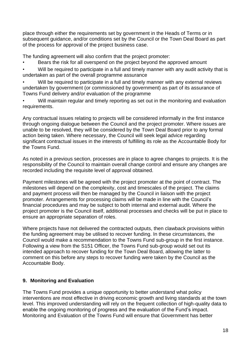place through either the requirements set by government in the Heads of Terms or in subsequent guidance, and/or conditions set by the Council or the Town Deal Board as part of the process for approval of the project business case.

The funding agreement will also confirm that the project promoter:

- Bears the risk for all overspend on the project beyond the approved amount
- Will be required to participate in a full and timely manner with any audit activity that is undertaken as part of the overall programme assurance
- Will be required to participate in a full and timely manner with any external reviews undertaken by government (or commissioned by government) as part of its assurance of Towns Fund delivery and/or evaluation of the programme
- Will maintain regular and timely reporting as set out in the monitoring and evaluation requirements.

Any contractual issues relating to projects will be considered informally in the first instance through ongoing dialogue between the Council and the project promoter. Where issues are unable to be resolved, they will be considered by the Town Deal Board prior to any formal action being taken. Where necessary, the Council will seek legal advice regarding significant contractual issues in the interests of fulfilling its role as the Accountable Body for the Towns Fund.

As noted in a previous section, processes are in place to agree changes to projects. It is the responsibility of the Council to maintain overall change control and ensure any changes are recorded including the requisite level of approval obtained.

Payment milestones will be agreed with the project promoter at the point of contract. The milestones will depend on the complexity, cost and timescales of the project. The claims and payment process will then be managed by the Council in liaison with the project promoter. Arrangements for processing claims will be made in line with the Council's financial procedures and may be subject to both internal and external audit. Where the project promoter is the Council itself, additional processes and checks will be put in place to ensure an appropriate separation of roles.

Where projects have not delivered the contracted outputs, then clawback provisions within the funding agreement may be utilised to recover funding. In these circumstances, the Council would make a recommendation to the Towns Fund sub-group in the first instance. Following a view from the S151 Officer, the Towns Fund sub-group would set out its intended approach to recover funding for the Town Deal Board, allowing the latter to comment on this before any steps to recover funding were taken by the Council as the Accountable Body.

## **9. Monitoring and Evaluation**

The Towns Fund provides a unique opportunity to better understand what policy interventions are most effective in driving economic growth and living standards at the town level. This improved understanding will rely on the frequent collection of high-quality data to enable the ongoing monitoring of progress and the evaluation of the Fund's impact. Monitoring and Evaluation of the Towns Fund will ensure that Government has better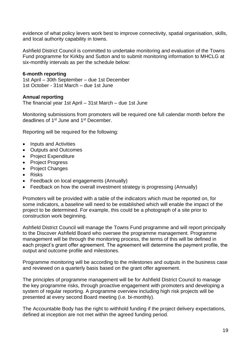evidence of what policy levers work best to improve connectivity, spatial organisation, skills, and local authority capability in towns.

Ashfield District Council is committed to undertake monitoring and evaluation of the Towns Fund programme for Kirkby and Sutton and to submit monitoring information to MHCLG at six-monthly intervals as per the schedule below:

#### **6-month reporting**

1st April – 30th September – due 1st December 1st October - 31st March – due 1st June

#### **Annual reporting**

The financial year 1st April – 31st March – due 1st June

Monitoring submissions from promoters will be required one full calendar month before the deadlines of 1st June and 1st December.

Reporting will be required for the following:

- Inputs and Activities
- Outputs and Outcomes
- Project Expenditure
- Project Progress
- Project Changes
- Risks
- Feedback on local engagements (Annually)
- Feedback on how the overall investment strategy is progressing (Annually)

Promoters will be provided with a table of the indicators which must be reported on, for some indicators, a baseline will need to be established which will enable the impact of the project to be determined. For example, this could be a photograph of a site prior to construction work beginning.

Ashfield District Council will manage the Towns Fund programme and will report principally to the Discover Ashfield Board who oversee the programme management. Programme management will be through the monitoring process, the terms of this will be defined in each project's grant offer agreement. The agreement will determine the payment profile, the output and outcome profile and milestones.

Programme monitoring will be according to the milestones and outputs in the business case and reviewed on a quarterly basis based on the grant offer agreement.

The principles of programme management will be for Ashfield District Council to manage the key programme risks, through proactive engagement with promoters and developing a system of regular reporting. A programme overview including high risk projects will be presented at every second Board meeting (i.e. bi-monthly).

The Accountable Body has the right to withhold funding if the project delivery expectations, defined at inception are not met within the agreed funding period.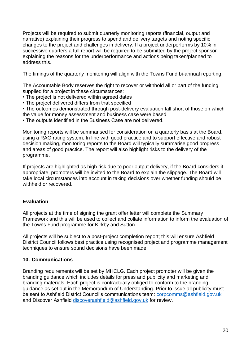Projects will be required to submit quarterly monitoring reports (financial, output and narrative) explaining their progress to spend and delivery targets and noting specific changes to the project and challenges in delivery. If a project underperforms by 10% in successive quarters a full report will be required to be submitted by the project sponsor explaining the reasons for the underperformance and actions being taken/planned to address this.

The timings of the quarterly monitoring will align with the Towns Fund bi-annual reporting.

The Accountable Body reserves the right to recover or withhold all or part of the funding supplied for a project in these circumstances:

- The project is not delivered within agreed dates
- The project delivered differs from that specified

• The outcomes demonstrated through post-delivery evaluation fall short of those on which the value for money assessment and business case were based

• The outputs identified in the Business Case are not delivered.

Monitoring reports will be summarised for consideration on a quarterly basis at the Board, using a RAG rating system. In line with good practice and to support effective and robust decision making, monitoring reports to the Board will typically summarise good progress and areas of good practice. The report will also highlight risks to the delivery of the programme.

If projects are highlighted as high risk due to poor output delivery, if the Board considers it appropriate, promoters will be invited to the Board to explain the slippage. The Board will take local circumstances into account in taking decisions over whether funding should be withheld or recovered.

## **Evaluation**

All projects at the time of signing the grant offer letter will complete the Summary Framework and this will be used to collect and collate information to inform the evaluation of the Towns Fund programme for Kirkby and Sutton.

All projects will be subject to a post-project completion report; this will ensure Ashfield District Council follows best practice using recognised project and programme management techniques to ensure sound decisions have been made.

## **10. Communications**

Branding requirements will be set by MHCLG. Each project promoter will be given the branding guidance which includes details for press and publicity and marketing and branding materials. Each project is contractually obliged to conform to the branding guidance as set out in the Memorandum of Understanding. Prior to issue all publicity must be sent to Ashfield District Council's communications team: [corpcomms@ashfield.gov.uk](mailto:corpcomms@ashfield.gov.uk) and Discover Ashfield [discoverashfield@ashfield.gov.uk](mailto:discoverashfield@ashfield.gov.uk) for review.